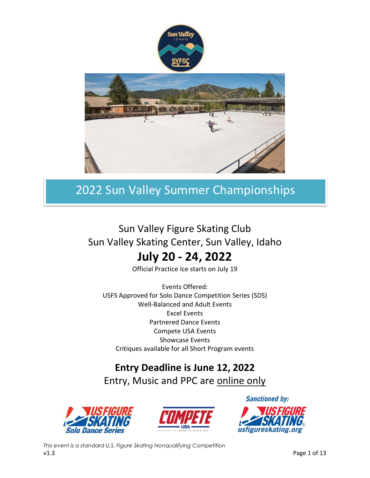

# Sun Valley Figure Skating Club Sun Valley Skating Center, Sun Valley, Idaho

# **July 20 - 24, 2022**

Official Practice Ice starts on July 19

Events Offered: USFS Approved for Solo Dance Competition Series (SDS) Well-Balanced and Adult Events Excel Events Partnered Dance Events Compete USA Events Showcase Events Critiques available for all Short Program events

# **Entry Deadline is June 12, 2022**

Entry, Music and PPC are online only





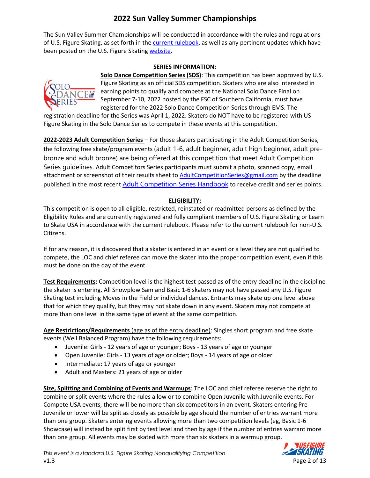The Sun Valley Summer Championships will be conducted in accordance with the rules and regulations of U.S. Figure Skating, as set forth in the [current rulebook,](https://www.usfigureskating.org/about/rules) as well as any pertinent updates which have been posted on the U.S. Figure Skating [website.](https://www.usfigureskating.org/members-only/members/technical-notifications)

#### **SERIES INFORMATION:**



**Solo Dance Competition Series (SDS)**: This competition has been approved by U.S. Figure Skating as an official SDS competition. Skaters who are also interested in earning points to qualify and compete at the National Solo Dance Final on September 7-10, 2022 hosted by the FSC of Southern California, must have registered for the 2022 Solo Dance Competition Series through EMS. The

registration deadline for the Series was April 1, 2022. Skaters do NOT have to be registered with US Figure Skating in the Solo Dance Series to compete in these events at this competition.

**2022-2023 Adult Competition Series** – For those skaters participating in the Adult Competition Series, the following free skate/program events (adult 1-6, adult beginner, adult high beginner, adult prebronze and adult bronze) are being offered at this competition that meet Adult Competition Series guidelines. Adult Competitors Series participants must submit a photo, scanned copy, email attachment or screenshot of their results sheet to **AdultCompetitionSeries@gmail.com** by the deadline published in the most recent [Adult Competition Series Handbook](https://www.usfigureskating.org/skate/skating-opportunities/adult-skating) to receive credit and series points.

#### **ELIGIBILITY:**

This competition is open to all eligible, restricted, reinstated or readmitted persons as defined by the Eligibility Rules and are currently registered and fully compliant members of U.S. Figure Skating or Learn to Skate USA in accordance with the current rulebook. Please refer to the current rulebook for non-U.S. Citizens.

If for any reason, it is discovered that a skater is entered in an event or a level they are not qualified to compete, the LOC and chief referee can move the skater into the proper competition event, even if this must be done on the day of the event.

**Test Requirements:** Competition level is the highest test passed as of the entry deadline in the discipline the skater is entering. All Snowplow Sam and Basic 1-6 skaters may not have passed any U.S. Figure Skating test including Moves in the Field or individual dances. Entrants may skate up one level above that for which they qualify, but they may not skate down in any event. Skaters may not compete at more than one level in the same type of event at the same competition.

**Age Restrictions/Requirements** (age as of the entry deadline): Singles short program and free skate events (Well Balanced Program) have the following requirements:

- Juvenile: Girls 12 years of age or younger; Boys 13 years of age or younger
- Open Juvenile: Girls 13 years of age or older; Boys 14 years of age or older
- Intermediate: 17 years of age or younger
- Adult and Masters: 21 years of age or older

**Size, Splitting and Combining of Events and Warmups**: The LOC and chief referee reserve the right to combine or split events where the rules allow or to combine Open Juvenile with Juvenile events. For Compete USA events, there will be no more than six competitors in an event. Skaters entering Pre-Juvenile or lower will be split as closely as possible by age should the number of entries warrant more than one group. Skaters entering events allowing more than two competition levels (eg, Basic 1-6 Showcase) will instead be split first by test level and then by age if the number of entries warrant more than one group. All events may be skated with more than six skaters in a warmup group.

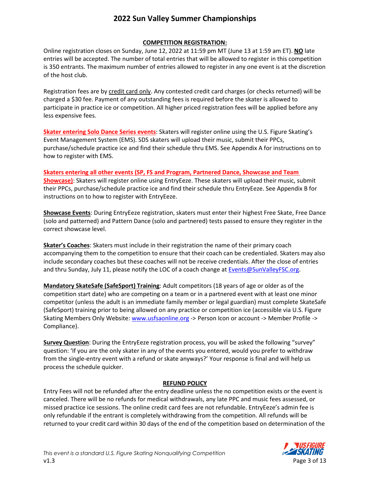#### **COMPETITION REGISTRATION:**

Online registration closes on Sunday, June 12, 2022 at 11:59 pm MT (June 13 at 1:59 am ET). **NO** late entries will be accepted. The number of total entries that will be allowed to register in this competition is 350 entrants. The maximum number of entries allowed to register in any one event is at the discretion of the host club.

Registration fees are by credit card only. Any contested credit card charges (or checks returned) will be charged a \$30 fee. Payment of any outstanding fees is required before the skater is allowed to participate in practice ice or competition. All higher priced registration fees will be applied before any less expensive fees.

**Skater entering Solo Dance Series events**: Skaters will register online using the U.S. Figure Skating's Event Management System (EMS). SDS skaters will upload their music, submit their PPCs, purchase/schedule practice ice and find their schedule thru EMS. See Appendix A for instructions on to how to register with EMS.

**Skaters entering all other events (SP, FS and Program, Partnered Dance, Showcase and Team Showcase)**: Skaters will register online using EntryEeze. These skaters will upload their music, submit their PPCs, purchase/schedule practice ice and find their schedule thru EntryEeze. See Appendix B for instructions on to how to register with EntryEeze.

**Showcase Events**: During EntryEeze registration, skaters must enter their highest Free Skate, Free Dance (solo and patterned) and Pattern Dance (solo and partnered) tests passed to ensure they register in the correct showcase level.

**Skater's Coaches**: Skaters must include in their registration the name of their primary coach accompanying them to the competition to ensure that their coach can be credentialed. Skaters may also include secondary coaches but these coaches will not be receive credentials. After the close of entries and thru Sunday, July 11, please notify the LOC of a coach change at [Events@SunValleyFSC.org.](mailto:Events@SunValleyFSC.org)

**Mandatory SkateSafe (SafeSport) Training**: Adult competitors (18 years of age or older as of the competition start date) who are competing on a team or in a partnered event with at least one minor competitor (unless the adult is an immediate family member or legal guardian) must complete SkateSafe (SafeSport) training prior to being allowed on any practice or competition ice (accessible via U.S. Figure Skating Members Only Website: [www.usfsaonline.org](http://www.usfsaonline.org/) -> Person Icon or account -> Member Profile -> Compliance).

**Survey Question**: During the EntryEeze registration process, you will be asked the following "survey" question: 'If you are the only skater in any of the events you entered, would you prefer to withdraw from the single-entry event with a refund or skate anyways?' Your response is final and will help us process the schedule quicker.

#### **REFUND POLICY**

Entry Fees will not be refunded after the entry deadline unless the no competition exists or the event is canceled. There will be no refunds for medical withdrawals, any late PPC and music fees assessed, or missed practice ice sessions. The online credit card fees are not refundable. EntryEeze's admin fee is only refundable if the entrant is completely withdrawing from the competition. All refunds will be returned to your credit card within 30 days of the end of the competition based on determination of the

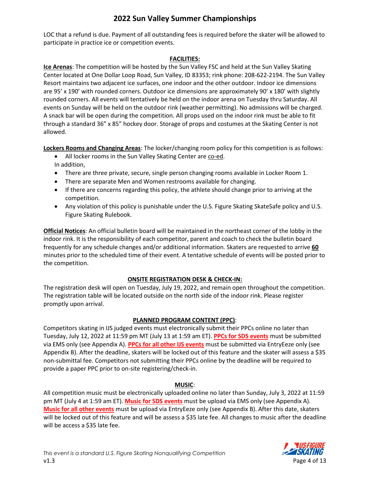LOC that a refund is due. Payment of all outstanding fees is required before the skater will be allowed to participate in practice ice or competition events.

#### **FACILITIES:**

**Ice Arenas**: The competition will be hosted by the Sun Valley FSC and held at the Sun Valley Skating Center located at One Dollar Loop Road, Sun Valley, ID 83353; rink phone: 208-622-2194. The Sun Valley Resort maintains two adjacent ice surfaces, one indoor and the other outdoor. Indoor ice dimensions are 95' x 190' with rounded corners. Outdoor ice dimensions are approximately 90' x 180' with slightly rounded corners. All events will tentatively be held on the indoor arena on Tuesday thru Saturday. All events on Sunday will be held on the outdoor rink (weather permitting). No admissions will be charged. A snack bar will be open during the competition. All props used on the indoor rink must be able to fit through a standard 36" x 85" hockey door. Storage of props and costumes at the Skating Center is not allowed.

**Lockers Rooms and Changing Areas**: The locker/changing room policy for this competition is as follows:

- All locker rooms in the Sun Valley Skating Center are co-ed. In addition,
- There are three private, secure, single person changing rooms available in Locker Room 1.
- There are separate Men and Women restrooms available for changing.
- If there are concerns regarding this policy, the athlete should change prior to arriving at the competition.
- Any violation of this policy is punishable under the U.S. Figure Skating SkateSafe policy and U.S. Figure Skating Rulebook.

**Official Notices**: An official bulletin board will be maintained in the northeast corner of the lobby in the indoor rink. It is the responsibility of each competitor, parent and coach to check the bulletin board frequently for any schedule changes and/or additional information. Skaters are requested to arrive **60** minutes prior to the scheduled time of their event. A tentative schedule of events will be posted prior to the competition.

#### **ONSITE REGISTRATION DESK & CHECK-IN:**

The registration desk will open on Tuesday, July 19, 2022, and remain open throughout the competition. The registration table will be located outside on the north side of the indoor rink. Please register promptly upon arrival.

#### **PLANNED PROGRAM CONTENT (PPC)**:

Competitors skating in IJS judged events must electronically submit their PPCs online no later than Tuesday, July 12, 2022 at 11:59 pm MT (July 13 at 1:59 am ET). **PPCs for SDS events** must be submitted via EMS only (see Appendix A). **PPCs for all other IJS events** must be submitted via EntryEeze only (see Appendix B). After the deadline, skaters will be locked out of this feature and the skater will assess a \$35 non-submittal fee. Competitors not submitting their PPCs online by the deadline will be required to provide a paper PPC prior to on-site registering/check-in.

#### **MUSIC**:

All competition music must be electronically uploaded online no later than Sunday, July 3, 2022 at 11:59 pm MT (July 4 at 1:59 am ET). **Music for SDS events** must be upload via EMS only (see Appendix A). **Music for all other events** must be upload via EntryEeze only (see Appendix B). After this date, skaters will be locked out of this feature and will be assess a \$35 late fee. All changes to music after the deadline will be access a \$35 late fee.

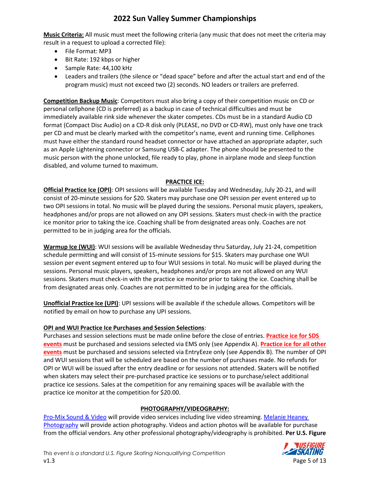**Music Criteria:** All music must meet the following criteria (any music that does not meet the criteria may result in a request to upload a corrected file):

- File Format: MP3
- Bit Rate: 192 kbps or higher
- Sample Rate: 44,100 kHz
- Leaders and trailers (the silence or "dead space" before and after the actual start and end of the program music) must not exceed two (2) seconds. NO leaders or trailers are preferred.

**Competition Backup Music**: Competitors must also bring a copy of their competition music on CD or personal cellphone (CD is preferred) as a backup in case of technical difficulties and must be immediately available rink side whenever the skater competes. CDs must be in a standard Audio CD format (Compact Disc Audio) on a CD-R disk only (PLEASE, no DVD or CD-RW), must only have one track per CD and must be clearly marked with the competitor's name, event and running time. Cellphones must have either the standard round headset connector or have attached an appropriate adapter, such as an Apple Lightening connector or Samsung USB-C adapter. The phone should be presented to the music person with the phone unlocked, file ready to play, phone in airplane mode and sleep function disabled, and volume turned to maximum.

#### **PRACTICE ICE:**

**Official Practice Ice (OPI)**: OPI sessions will be available Tuesday and Wednesday, July 20-21, and will consist of 20-minute sessions for \$20. Skaters may purchase one OPI session per event entered up to two OPI sessions in total. No music will be played during the sessions. Personal music players, speakers, headphones and/or props are not allowed on any OPI sessions. Skaters must check-in with the practice ice monitor prior to taking the ice. Coaching shall be from designated areas only. Coaches are not permitted to be in judging area for the officials.

**Warmup Ice (WUI)**: WUI sessions will be available Wednesday thru Saturday, July 21-24, competition schedule permitting and will consist of 15-minute sessions for \$15. Skaters may purchase one WUI session per event segment entered up to four WUI sessions in total. No music will be played during the sessions. Personal music players, speakers, headphones and/or props are not allowed on any WUI sessions. Skaters must check-in with the practice ice monitor prior to taking the ice. Coaching shall be from designated areas only. Coaches are not permitted to be in judging area for the officials.

**Unofficial Practice Ice (UPI)**: UPI sessions will be available if the schedule allows. Competitors will be notified by email on how to purchase any UPI sessions.

#### **OPI and WUI Practice Ice Purchases and Session Selections**:

Purchases and session selections must be made online before the close of entries. **Practice ice for SDS events** must be purchased and sessions selected via EMS only (see Appendix A). **Practice ice for all other events** must be purchased and sessions selected via EntryEeze only (see Appendix B). The number of OPI and WUI sessions that will be scheduled are based on the number of purchases made. No refunds for OPI or WUI will be issued after the entry deadline or for sessions not attended. Skaters will be notified when skaters may select their pre-purchased practice ice sessions or to purchase/select additional practice ice sessions. Sales at the competition for any remaining spaces will be available with the practice ice monitor at the competition for \$20.00.

#### **PHOTOGRAPHY/VIDEOGRAPHY:**

[Pro-Mix Sound & Video](https://promixsoundvideo.com/) will provide video services including live video streaming[. Melanie Heaney](https://melanieheaney.com/)  [Photography](https://melanieheaney.com/) will provide action photography. Videos and action photos will be available for purchase from the official vendors. Any other professional photography/videography is prohibited. **Per U.S. Figure** 

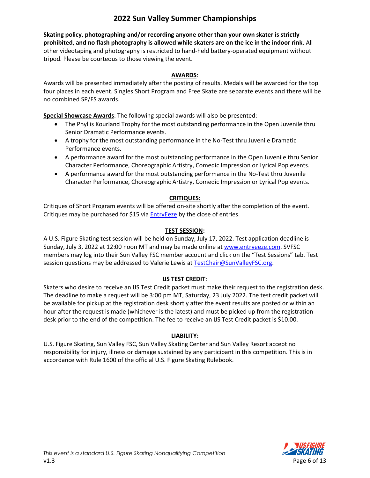**Skating policy, photographing and/or recording anyone other than your own skater is strictly prohibited, and no flash photography is allowed while skaters are on the ice in the indoor rink.** All other videotaping and photography is restricted to hand-held battery-operated equipment without tripod. Please be courteous to those viewing the event.

#### **AWARDS**:

Awards will be presented immediately after the posting of results. Medals will be awarded for the top four places in each event. Singles Short Program and Free Skate are separate events and there will be no combined SP/FS awards.

**Special Showcase Awards**: The following special awards will also be presented:

- The Phyllis Kourland Trophy for the most outstanding performance in the Open Juvenile thru Senior Dramatic Performance events.
- A trophy for the most outstanding performance in the No-Test thru Juvenile Dramatic Performance events.
- A performance award for the most outstanding performance in the Open Juvenile thru Senior Character Performance, Choreographic Artistry, Comedic Impression or Lyrical Pop events.
- A performance award for the most outstanding performance in the No-Test thru Juvenile Character Performance, Choreographic Artistry, Comedic Impression or Lyrical Pop events.

#### **CRITIQUES:**

Critiques of Short Program events will be offered on-site shortly after the completion of the event. Critiques may be purchased for \$15 via **EntryEeze** by the close of entries.

#### **TEST SESSION:**

A U.S. Figure Skating test session will be held on Sunday, July 17, 2022. Test application deadline is Sunday, July 3, 2022 at 12:00 noon MT and may be made online at [www.entryeeze.com.](http://www.entryeeze.com/) SVFSC members may log into their Sun Valley FSC member account and click on the "Test Sessions" tab. Test session questions may be addressed to Valerie Lewis at [TestChair@SunValleyFSC.org.](mailto:TestChair@SunValleyFSC.org)

#### **IJS TEST CREDIT**:

Skaters who desire to receive an IJS Test Credit packet must make their request to the registration desk. The deadline to make a request will be 3:00 pm MT, Saturday, 23 July 2022. The test credit packet will be available for pickup at the registration desk shortly after the event results are posted or within an hour after the request is made (whichever is the latest) and must be picked up from the registration desk prior to the end of the competition. The fee to receive an IJS Test Credit packet is \$10.00.

#### **LIABILITY:**

U.S. Figure Skating, Sun Valley FSC, Sun Valley Skating Center and Sun Valley Resort accept no responsibility for injury, illness or damage sustained by any participant in this competition. This is in accordance with Rule 1600 of the official U.S. Figure Skating Rulebook.

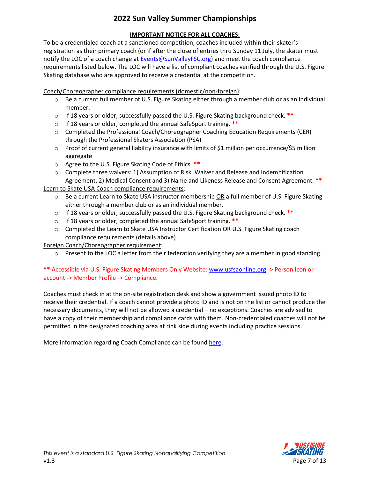#### **IMPORTANT NOTICE FOR ALL COACHES:**

To be a credentialed coach at a sanctioned competition, coaches included within their skater's registration as their primary coach (or if after the close of entries thru Sunday 11 July, the skater must notify the LOC of a coach change at **Events@SunValleyFSC.org**) and meet the coach compliance requirements listed below. The LOC will have a list of compliant coaches verified through the U.S. Figure Skating database who are approved to receive a credential at the competition.

Coach/Choreographer compliance requirements (domestic/non-foreign):

- o Be a current full member of U.S. Figure Skating either through a member club or as an individual member.
- o If 18 years or older, successfully passed the U.S. Figure Skating background check. **\*\***
- o If 18 years or older, completed the annual SafeSport training. **\*\***
- o Completed the Professional Coach/Choreographer Coaching Education Requirements (CER) through the Professional Skaters Association (PSA)
- o Proof of current general liability insurance with limits of \$1 million per occurrence/\$5 million aggregate
- o Agree to the U.S. Figure Skating Code of Ethics. **\*\***
- o Complete three waivers: 1) Assumption of Risk, Waiver and Release and Indemnification Agreement, 2) Medical Consent and 3) Name and Likeness Release and Consent Agreement. **\*\***

Learn to Skate USA Coach compliance requirements:

- o Be a current Learn to Skate USA instructor membership OR a full member of U.S. Figure Skating either through a member club or as an individual member.
- o If 18 years or older, successfully passed the U.S. Figure Skating background check. **\*\***
- o If 18 years or older, completed the annual SafeSport training. **\*\***
- $\circ$  Completed the Learn to Skate USA Instructor Certification OR U.S. Figure Skating coach compliance requirements (details above)

Foreign Coach/Choreographer requirement:

 $\circ$  Present to the LOC a letter from their federation verifying they are a member in good standing.

#### **\*\*** Accessible via U.S. Figure Skating Members Only Website[: www.usfsaonline.org](http://www.usfsaonline.org/) -> Person Icon or account -> Member Profile -> Compliance.

Coaches must check in at the on-site registration desk and show a government issued photo ID to receive their credential. If a coach cannot provide a photo ID and is not on the list or cannot produce the necessary documents, they will not be allowed a credential – no exceptions. Coaches are advised to have a copy of their membership and compliance cards with them. Non-credentialed coaches will not be permitted in the designated coaching area at rink side during events including practice sessions.

More information regarding Coach Compliance can be foun[d here.](https://www.usfigureskating.org/support/coach/coach-compliance)

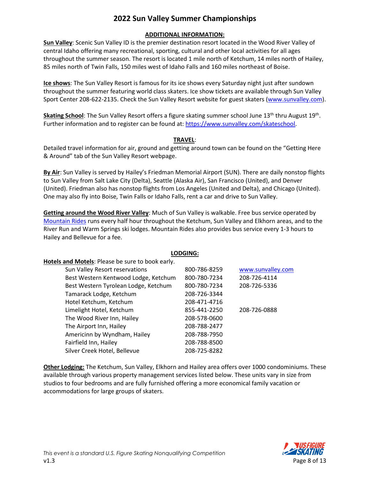#### **ADDITIONAL INFORMATION:**

**Sun Valley**: Scenic Sun Valley ID is the premier destination resort located in the Wood River Valley of central Idaho offering many recreational, sporting, cultural and other local activities for all ages throughout the summer season. The resort is located 1 mile north of Ketchum, 14 miles north of Hailey, 85 miles north of Twin Falls, 150 miles west of Idaho Falls and 160 miles northeast of Boise.

**Ice shows**: The Sun Valley Resort is famous for its ice shows every Saturday night just after sundown throughout the summer featuring world class skaters. Ice show tickets are available through Sun Valley Sport Center 208-622-2135. Check the Sun Valley Resort website for guest skaters [\(www.sunvalley.com\)](http://www.sunvalley.com/).

Skating School: The Sun Valley Resort offers a figure skating summer school June 13<sup>th</sup> thru August 19<sup>th</sup>. Further information and to register can be found at: [https://www.sunvalley.com/skateschool.](https://www.sunvalley.com/skateschool)

#### **TRAVEL**:

Detailed travel information for air, ground and getting around town can be found on the "Getting Here & Around" tab of the Sun Valley Resort webpage.

**By Air**: Sun Valley is served by Hailey's Friedman Memorial Airport (SUN). There are daily nonstop flights to Sun Valley from Salt Lake City (Delta), Seattle (Alaska Air), San Francisco (United), and Denver (United). Friedman also has nonstop flights from Los Angeles (United and Delta), and Chicago (United). One may also fly into Boise, Twin Falls or Idaho Falls, rent a car and drive to Sun Valley.

**Getting around the Wood River Valley**: Much of Sun Valley is walkable. Free bus service operated by [Mountain Rides](https://www.mountainrides.org/) runs every half hour throughout the Ketchum, Sun Valley and Elkhorn areas, and to the River Run and Warm Springs ski lodges. Mountain Rides also provides bus service every 1-3 hours to Hailey and Bellevue for a fee.

**LODGING:**

| 800-786-8259 | www.sunvalley.com |
|--------------|-------------------|
| 800-780-7234 | 208-726-4114      |
| 800-780-7234 | 208-726-5336      |
| 208-726-3344 |                   |
| 208-471-4716 |                   |
| 855-441-2250 | 208-726-0888      |
| 208-578-0600 |                   |
| 208-788-2477 |                   |
| 208-788-7950 |                   |
| 208-788-8500 |                   |
| 208-725-8282 |                   |
|              |                   |

**Other Lodging:** The Ketchum, Sun Valley, Elkhorn and Hailey area offers over 1000 condominiums. These available through various property management services listed below. These units vary in size from studios to four bedrooms and are fully furnished offering a more economical family vacation or accommodations for large groups of skaters.

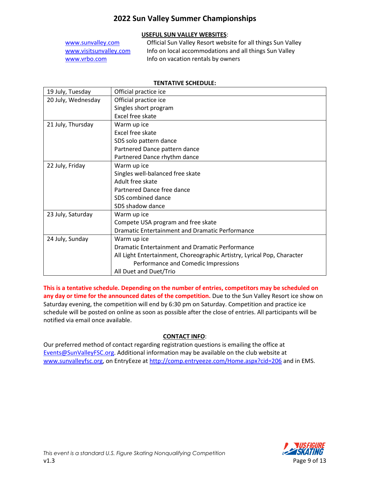#### **USEFUL SUN VALLEY WEBSITES**:

| www.sunvalley.com      | Official Sun Valley Resort website for all things Sun Valley |
|------------------------|--------------------------------------------------------------|
| www.visitsunvalley.com | Info on local accommodations and all things Sun Valley       |
| www.yrbo.com           | Info on vacation rentals by owners                           |

| <b>TENTATIVE SCHEDULE:</b> |                       |  |
|----------------------------|-----------------------|--|
|                            | Official practice ice |  |
|                            | Official practice ice |  |
|                            | Singles short program |  |
|                            | Excel free skate      |  |
|                            | Warm un ice           |  |

19 July, Tuesday

| 20 July, Wednesday | Official practice ice                                                   |
|--------------------|-------------------------------------------------------------------------|
|                    | Singles short program                                                   |
|                    | Excel free skate                                                        |
| 21 July, Thursday  | Warm up ice                                                             |
|                    | Excel free skate                                                        |
|                    | SDS solo pattern dance                                                  |
|                    | Partnered Dance pattern dance                                           |
|                    | Partnered Dance rhythm dance                                            |
| 22 July, Friday    | Warm up ice                                                             |
|                    | Singles well-balanced free skate                                        |
|                    | Adult free skate                                                        |
|                    | Partnered Dance free dance                                              |
|                    | SDS combined dance                                                      |
|                    | SDS shadow dance                                                        |
| 23 July, Saturday  | Warm up ice                                                             |
|                    | Compete USA program and free skate                                      |
|                    | <b>Dramatic Entertainment and Dramatic Performance</b>                  |
| 24 July, Sunday    | Warm up ice                                                             |
|                    | Dramatic Entertainment and Dramatic Performance                         |
|                    | All Light Entertainment, Choreographic Artistry, Lyrical Pop, Character |
|                    | Performance and Comedic Impressions                                     |
|                    | All Duet and Duet/Trio                                                  |

**This is a tentative schedule. Depending on the number of entries, competitors may be scheduled on any day or time for the announced dates of the competition.** Due to the Sun Valley Resort ice show on Saturday evening, the competition will end by 6:30 pm on Saturday. Competition and practice ice schedule will be posted on online as soon as possible after the close of entries. All participants will be notified via email once available.

#### **CONTACT INFO**:

Our preferred method of contact regarding registration questions is emailing the office at [Events@SunValleyFSC.org.](mailto:Events@SunValleyFSC.org) Additional information may be available on the club website at [www.sunvalleyfsc.org,](http://www.sunvalleyfsc.org/) on EntryEeze at<http://comp.entryeeze.com/Home.aspx?cid=206> and in EMS.

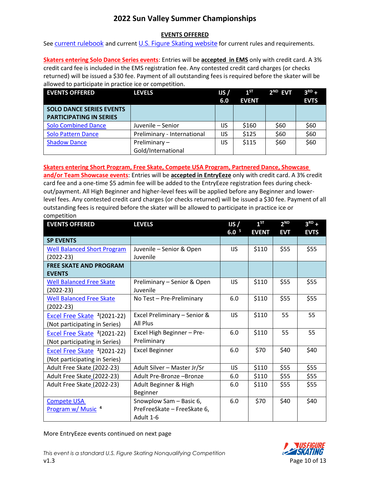#### **EVENTS OFFERED**

See [current rulebook](https://www.usfigureskating.org/about/rules) and current [U.S. Figure Skating website](http://www.usfsaonline.org/) for current rules and requirements.

**Skaters entering Solo Dance Series events**: Entries will be **accepted in EMS** only with credit card. A 3% credit card fee is included in the EMS registration fee. Any contested credit card charges (or checks returned) will be issued a \$30 fee. Payment of all outstanding fees is required before the skater will be allowed to participate in practice ice or competition.

| <b>EVENTS OFFERED</b>                                             | <b>LEVELS</b>                      | US/<br>6.0 | $1^{ST}$<br><b>EVENT</b> | $2ND$ EVT | $3RD +$<br><b>EVTS</b> |
|-------------------------------------------------------------------|------------------------------------|------------|--------------------------|-----------|------------------------|
| <b>SOLO DANCE SERIES EVENTS</b><br><b>PARTICIPATING IN SERIES</b> |                                    |            |                          |           |                        |
| <b>Solo Combined Dance</b>                                        | Juvenile - Senior                  | IJS        | \$160                    | \$60      | \$60                   |
| <b>Solo Pattern Dance</b>                                         | Preliminary - International        | IJS        | \$125                    | \$60      | \$60                   |
| <b>Shadow Dance</b>                                               | Preliminary-<br>Gold/International | IJS        | \$115                    | \$60      | \$60                   |

**Skaters entering Short Program, Free Skate, Compete USA Program, Partnered Dance, Showcase** 

**and/or Team Showcase events**: Entries will be **accepted in EntryEeze** only with credit card. A 3% credit card fee and a one-time \$5 admin fee will be added to the EntryEeze registration fees during checkout/payment. All High Beginner and higher-level fees will be applied before any Beginner and lowerlevel fees. Any contested credit card charges (or checks returned) will be issued a \$30 fee. Payment of all outstanding fees is required before the skater will be allowed to participate in practice ice or competition

| <b>EVENTS OFFERED</b>                   | <b>LEVELS</b>                | IJS/             | $1^{ST}$     | 2 <sup>ND</sup> | $3^{RD}$ +  |
|-----------------------------------------|------------------------------|------------------|--------------|-----------------|-------------|
|                                         |                              | 6.0 <sup>5</sup> | <b>EVENT</b> | <b>EVT</b>      | <b>EVTS</b> |
| <b>SP EVENTS</b>                        |                              |                  |              |                 |             |
| <b>Well Balanced Short Program</b>      | Juvenile - Senior & Open     | IJS              | \$110        | \$55            | \$55        |
| $(2022-23)$                             | Juvenile                     |                  |              |                 |             |
| <b>FREE SKATE AND PROGRAM</b>           |                              |                  |              |                 |             |
| <b>EVENTS</b>                           |                              |                  |              |                 |             |
| <b>Well Balanced Free Skate</b>         | Preliminary - Senior & Open  | IJS              | \$110        | \$55            | \$55        |
| $(2022-23)$                             | Juvenile                     |                  |              |                 |             |
| <b>Well Balanced Free Skate</b>         | No Test - Pre-Preliminary    | 6.0              | \$110        | \$55            | \$55        |
| $(2022-23)$                             |                              |                  |              |                 |             |
| Excel Free Skate <sup>2</sup> (2021-22) | Excel Preliminary - Senior & | IJS              | \$110        | 55              | 55          |
| (Not participating in Series)           | <b>All Plus</b>              |                  |              |                 |             |
| Excel Free Skate <sup>2</sup> (2021-22) | Excel High Beginner - Pre-   | 6.0              | \$110        | 55              | 55          |
| (Not participating in Series)           | Preliminary                  |                  |              |                 |             |
| Excel Free Skate <sup>2</sup> (2021-22) | <b>Excel Beginner</b>        | 6.0              | \$70         | \$40            | \$40        |
| (Not participating in Series)           |                              |                  |              |                 |             |
| Adult Free Skate_(2022-23)              | Adult Silver - Master Jr/Sr  | IJS              | \$110        | \$55            | \$55        |
| Adult Free Skate_(2022-23)              | Adult Pre-Bronze -Bronze     | 6.0              | \$110        | \$55            | \$55        |
| Adult Free Skate (2022-23)              | Adult Beginner & High        | 6.0              | \$110        | \$55            | \$55        |
|                                         | Beginner                     |                  |              |                 |             |
| <b>Compete USA</b>                      | Snowplow Sam - Basic 6,      | 6.0              | \$70         | \$40            | \$40        |
| Program w/ Music <sup>4</sup>           | PreFreeSkate - FreeSkate 6,  |                  |              |                 |             |
|                                         | Adult 1-6                    |                  |              |                 |             |

More EntryEeze events continued on next page

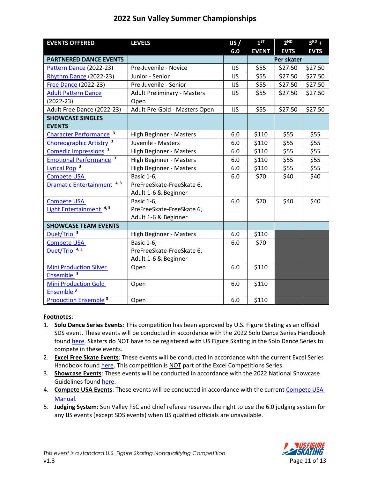| <b>EVENTS OFFERED</b>                    | <b>LEVELS</b>                      | IJS/       | $1^{ST}$     | 2 <sup>ND</sup> | $3RD +$     |
|------------------------------------------|------------------------------------|------------|--------------|-----------------|-------------|
|                                          |                                    | 6.0        | <b>EVENT</b> | <b>EVTS</b>     | <b>EVTS</b> |
| <b>PARTNERED DANCE EVENTS</b>            |                                    |            |              | Per skater      |             |
| Pattern Dance (2022-23)                  | Pre-Juvenile - Novice              | <b>IJS</b> | \$55         | \$27.50         | \$27.50     |
| Rhythm Dance (2022-23)                   | Junior - Senior                    | IJS        | \$55         | \$27.50         | \$27.50     |
| <b>Free Dance (2022-23)</b>              | Pre-Juvenile - Senior              | IJS        | \$55         | \$27.50         | \$27.50     |
| <b>Adult Pattern Dance</b>               | <b>Adult Preliminary - Masters</b> | <b>IJS</b> | \$55         | \$27.50         | \$27.50     |
| $(2022-23)$                              | Open                               |            |              |                 |             |
| Adult Free Dance (2022-23)               | Adult Pre-Gold - Masters Open      | <b>IJS</b> | \$55         | \$27.50         | \$27.50     |
| <b>SHOWCASE SINGLES</b>                  |                                    |            |              |                 |             |
| <b>EVENTS</b>                            |                                    |            |              |                 |             |
| Character Performance <sup>3</sup>       | High Beginner - Masters            | 6.0        | \$110        | \$55            | \$55        |
| <b>Choreographic Artistry</b>            | Juvenile - Masters                 | 6.0        | \$110        | \$55            | \$55        |
| Comedic Impressions <sup>3</sup>         | High Beginner - Masters            | 6.0        | \$110        | \$55            | \$55        |
| <b>Emotional Performance<sup>3</sup></b> | High Beginner - Masters            | 6.0        | \$110        | \$55            | \$55        |
| Lyrical Pop <sup>3</sup>                 | High Beginner - Masters            | 6.0        | \$110        | \$55            | \$55        |
| <b>Compete USA</b>                       | <b>Basic 1-6,</b>                  | 6.0        | \$70         | \$40            | \$40        |
| Dramatic Entertainment <sup>4,3</sup>    | PreFreeSkate-FreeSkate 6,          |            |              |                 |             |
|                                          | Adult 1-6 & Beginner               |            |              |                 |             |
| <b>Compete USA</b>                       | <b>Basic 1-6,</b>                  | 6.0        | \$70         | \$40            | \$40        |
| Light Entertainment <sup>4,3</sup>       | PreFreeSkate-FreeSkate 6,          |            |              |                 |             |
|                                          | Adult 1-6 & Beginner               |            |              |                 |             |
| <b>SHOWCASE TEAM EVENTS</b>              |                                    |            |              |                 |             |
| Duet/Trio <sup>3</sup>                   | High Beginner - Masters            | 6.0        | \$110        |                 |             |
| <b>Compete USA</b>                       | <b>Basic 1-6,</b>                  | 6.0        | \$70         |                 |             |
| Duet/Trio <sup>4,3</sup>                 | PreFreeSkate-FreeSkate 6,          |            |              |                 |             |
|                                          | Adult 1-6 & Beginner               |            |              |                 |             |
| <b>Mini Production Silver</b>            | Open                               | 6.0        | \$110        |                 |             |
| Ensemble <sup>3</sup>                    |                                    |            |              |                 |             |
| <b>Mini Production Gold</b>              | Open                               | 6.0        | \$110        |                 |             |
| Ensemble <sup>3</sup>                    |                                    |            |              |                 |             |
| Production Ensemble <sup>3</sup>         | Open                               | 6.0        | \$110        |                 |             |

#### **Footnotes**:

- 1. **Solo Dance Series Events**: This competition has been approved by U.S. Figure Skating as an official SDS event. These events will be conducted in accordance with the 2022 Solo Dance Series Handbook found [here.](https://www.usfigureskating.org/members-only/skating-opportunities/solo-dance/series-info) Skaters do NOT have to be registered with US Figure Skating in the Solo Dance Series to compete in these events.
- 2. **Excel Free Skate Events**: These events will be conducted in accordance with the current Excel Series Handbook foun[d here.](https://www.usfigureskating.org/members-only/officials/skating-rules-and-resources/excel?mocrToken=LNhXz_BVLAC4POdvi4B757LA0u9_1_TflB0i8kbY3YwFDq7fSagIye50CuvfwoeBIiSf7G3o7FkBCtjBCT1yBASbEGC4HpIcXuyiPReJidaZz5l7tjMdoxw7hMDRAnDV3b4tltoD5kvInqdKwF1Y9cphZLak0O02jImYiuDg8wWhLgNQ-hbn5qosDMTp7xAHbjpebVoaoQpmb4GHwDGGb9lBGXb6jnWEoHL-Y1QeMK4=) This competition is NOT part of the Excel Competitions Series.
- 3. **Showcase Events**: These events will be conducted in accordance with the 2022 National Showcase Guidelines foun[d here.](https://www.usfigureskating.org/skate/skating-opportunities/showcase)
- 4. **Compete USA Events**: These events will be conducted in accordance with the current [Compete USA](https://www.usfigureskating.org/sites/default/files/media-files/2021-22%20Compete%20USA%20Manual.pdf)  [Manua](https://www.usfigureskating.org/sites/default/files/media-files/2021-22%20Compete%20USA%20Manual.pdf)l.
- 5. **Judging System**: Sun Valley FSC and chief referee reserves the right to use the 6.0 judging system for any IJS events (except SDS events) when IJS qualified officials are unavailable.

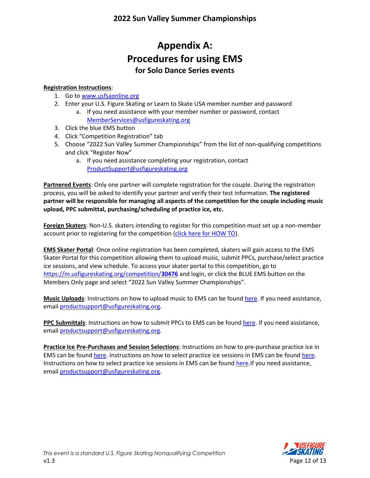## **Appendix A: Procedures for using EMS for Solo Dance Series events**

#### **Registration Instructions**:

- 1. Go to [www.usfsaonline.org](http://www.usfsaonline.org/)
- 2. Enter your U.S. Figure Skating or Learn to Skate USA member number and password
	- a. If you need assistance with your member number or password, contact [MemberServices@usfigureskating.org](mailto:MemberServices@usfigureskating.org)
- 3. Click the blue EMS button
- 4. Click "Competition Registration" tab
- 5. Choose "2022 Sun Valley Summer Championships" from the list of non-qualifying competitions and click "Register Now"
	- a. If you need assistance completing your registration, contact [ProductSupport@usfigureskating.org](mailto:ProductSupport@usfigureskating.org)

**Partnered Events**: Only one partner will complete registration for the couple. During the registration process, you will be asked to identify your partner and verify their test information. **The registered partner will be responsible for managing all aspects of the competition for the couple including music upload, PPC submittal, purchasing/scheduling of practice ice, etc.**

**Foreign Skaters**: Non-U.S. skaters intending to register for this competition must set up a non-member account prior to registering for the competition [\(click here for HOW TO\)](https://public.3.basecamp.com/p/GwrcZ9DuXrqkxKykKbYQxJGn).

**EMS Skater Portal**: Once online registration has been completed, skaters will gain access to the EMS Skater Portal for this competition allowing them to upload music, submit PPCs, purchase/select practice ice sessions, and view schedule. To access your skater portal to this competition, go to [https://m.usfigureskating.org/competition/](https://m.usfigureskating.org/competition/30476)**30476** and login, or click the BLUE EMS button on the Members Only page and select "2022 Sun Valley Summer Championships".

**Music Uploads**: Instructions on how to upload music to EMS can be found [here.](https://public.3.basecamp.com/p/ycj6D89r1GruJVv8oTSWXUqW) If you need assistance, email [productsupport@usfigureskating.org.](mailto:productsupport@usfigureskating.org)

**PPC Submittals**: Instructions on how to submit PPCs to EMS can be found [here.](https://public.3.basecamp.com/p/bJNALQ6nPYrJUH2YKAjQ2tMB) If you need assistance, email [productsupport@usfigureskating.org.](mailto:productsupport@usfigureskating.org)

**Practice Ice Pre-Purchases and Session Selections**: Instructions on how to pre-purchase practice ice in EMS can be found [here.](https://public.3.basecamp.com/p/rqAXpFKf535Tp76yZk2dcL1b) Instructions on how to select practice ice sessions in EMS can be found [here.](https://public.3.basecamp.com/p/KbtNr6DhEX1Rpf1ePW8LeUB6) Instructions on how to select practice ice sessions in EMS can be foun[d here.](https://public.3.basecamp.com/p/KbtNr6DhEX1Rpf1ePW8LeUB6)If you need assistance, email [productsupport@usfigureskating.org.](mailto:productsupport@usfigureskating.org)